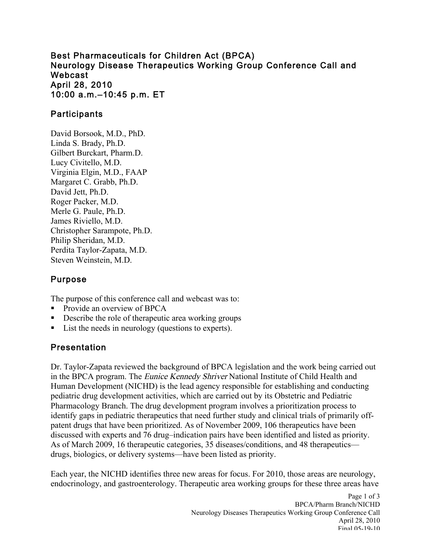Best Pharmaceuticals for Children Act (BPCA) Neurology Disease Therapeutics Working Group Conference Call and April 28, 2010 10:00 a.m.–10:45 p.m. ET Webcast

## **Participants**

David Borsook, M.D., PhD. Linda S. Brady, Ph.D. Gilbert Burckart, Pharm.D. Lucy Civitello, M.D. Virginia Elgin, M.D., FAAP Margaret C. Grabb, Ph.D. David Jett, Ph.D. Roger Packer, M.D. Merle G. Paule, Ph.D. James Riviello, M.D. Christopher Sarampote, Ph.D. Philip Sheridan, M.D. Perdita Taylor-Zapata, M.D. Steven Weinstein, M.D.

## Purpose

The purpose of this conference call and webcast was to:

- Provide an overview of BPCA
- Describe the role of therapeutic area working groups
- List the needs in neurology (questions to experts).

# Presentation

Dr. Taylor-Zapata reviewed the background of BPCA legislation and the work being carried out in the BPCA program. The Eunice Kennedy Shriver National Institute of Child Health and Human Development (NICHD) is the lead agency responsible for establishing and conducting pediatric drug development activities, which are carried out by its Obstetric and Pediatric Pharmacology Branch. The drug development program involves a prioritization process to identify gaps in pediatric therapeutics that need further study and clinical trials of primarily offpatent drugs that have been prioritized. As of November 2009, 106 therapeutics have been discussed with experts and 76 drug–indication pairs have been identified and listed as priority. As of March 2009, 16 therapeutic categories, 35 diseases/conditions, and 48 therapeutics drugs, biologics, or delivery systems—have been listed as priority.

Each year, the NICHD identifies three new areas for focus. For 2010, those areas are neurology, endocrinology, and gastroenterology. Therapeutic area working groups for these three areas have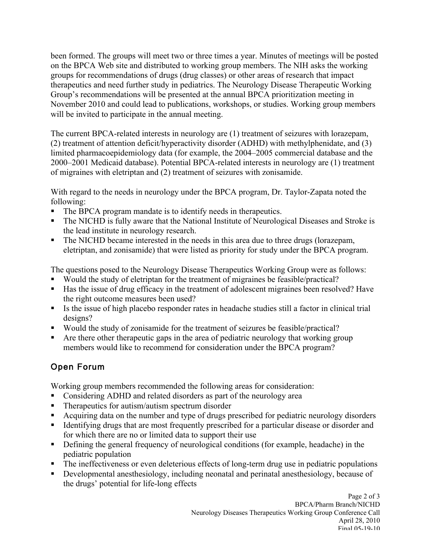been formed. The groups will meet two or three times a year. Minutes of meetings will be posted on the BPCA Web site and distributed to working group members. The NIH asks the working groups for recommendations of drugs (drug classes) or other areas of research that impact therapeutics and need further study in pediatrics. The Neurology Disease Therapeutic Working Group's recommendations will be presented at the annual BPCA prioritization meeting in November 2010 and could lead to publications, workshops, or studies. Working group members will be invited to participate in the annual meeting.

The current BPCA-related interests in neurology are (1) treatment of seizures with lorazepam, (2) treatment of attention deficit/hyperactivity disorder (ADHD) with methylphenidate, and (3) limited pharmacoepidemiology data (for example, the 2004–2005 commercial database and the 2000–2001 Medicaid database). Potential BPCA-related interests in neurology are (1) treatment of migraines with eletriptan and (2) treatment of seizures with zonisamide.

With regard to the needs in neurology under the BPCA program, Dr. Taylor-Zapata noted the following:

- The BPCA program mandate is to identify needs in therapeutics.
- The NICHD is fully aware that the National Institute of Neurological Diseases and Stroke is the lead institute in neurology research.
- The NICHD became interested in the needs in this area due to three drugs (lorazepam, eletriptan, and zonisamide) that were listed as priority for study under the BPCA program.

The questions posed to the Neurology Disease Therapeutics Working Group were as follows:

- Would the study of eletriptan for the treatment of migraines be feasible/practical?
- Has the issue of drug efficacy in the treatment of adolescent migraines been resolved? Have the right outcome measures been used?
- Is the issue of high placebo responder rates in headache studies still a factor in clinical trial designs?
- Would the study of zonisamide for the treatment of seizures be feasible/practical?
- Are there other therapeutic gaps in the area of pediatric neurology that working group members would like to recommend for consideration under the BPCA program?

# Open Forum

Working group members recommended the following areas for consideration:

- Considering ADHD and related disorders as part of the neurology area
- Therapeutics for autism/autism spectrum disorder
- Acquiring data on the number and type of drugs prescribed for pediatric neurology disorders
- Identifying drugs that are most frequently prescribed for a particular disease or disorder and for which there are no or limited data to support their use
- Defining the general frequency of neurological conditions (for example, headache) in the pediatric population
- The ineffectiveness or even deleterious effects of long-term drug use in pediatric populations
- Developmental anesthesiology, including neonatal and perinatal anesthesiology, because of the drugs' potential for life-long effects